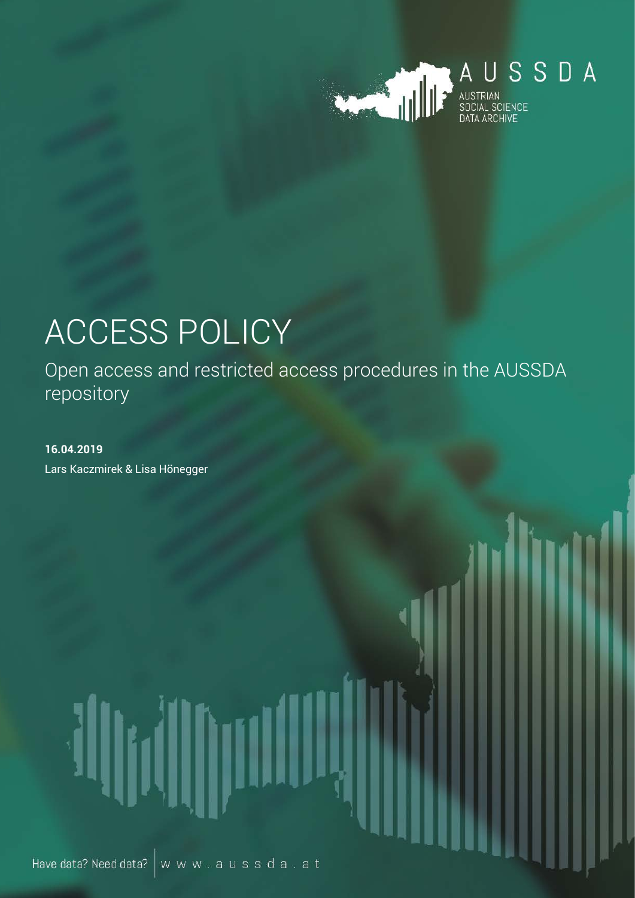

# ACCESS POLICY

Open access and restricted access procedures in the AUSSDA repository

**16.04.2019** Lars Kaczmirek & Lisa Hönegger

Have data? Need data?  $\vert w w w$  , a u s s d a , a t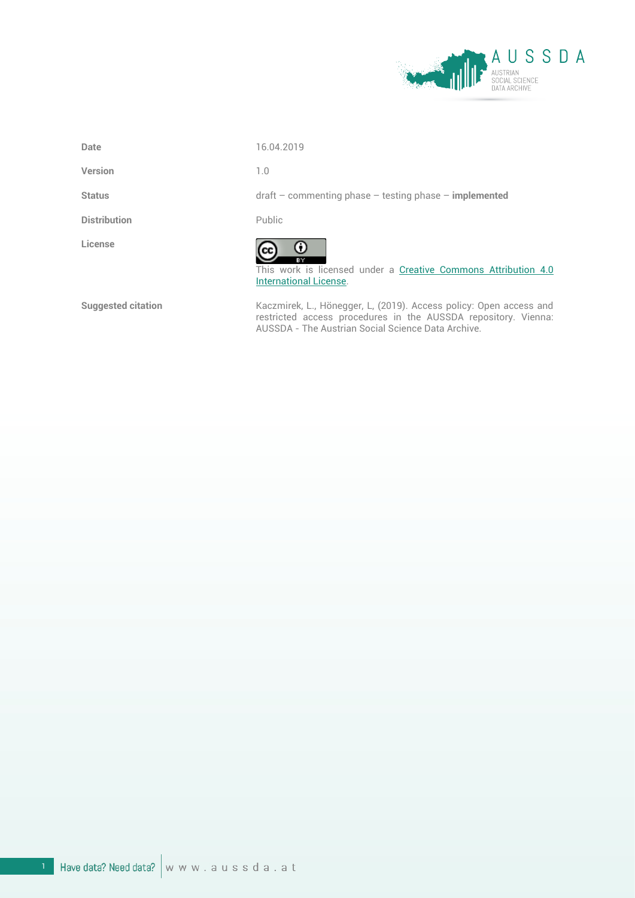

**Date** 16.04.2019

**Version** 1.0

**Distribution** Public

**License**

**Status** draft – commenting phase – testing phase – **implemented**



This work is licensed under a [Creative Commons Attribution 4.0](https://creativecommons.org/licenses/by/4.0/)  [International License.](https://creativecommons.org/licenses/by/4.0/)

Suggested citation **Kaczmirek, L., Hönegger, L, (2019)**. Access policy: Open access and restricted access procedures in the AUSSDA repository. Vienna: AUSSDA - The Austrian Social Science Data Archive.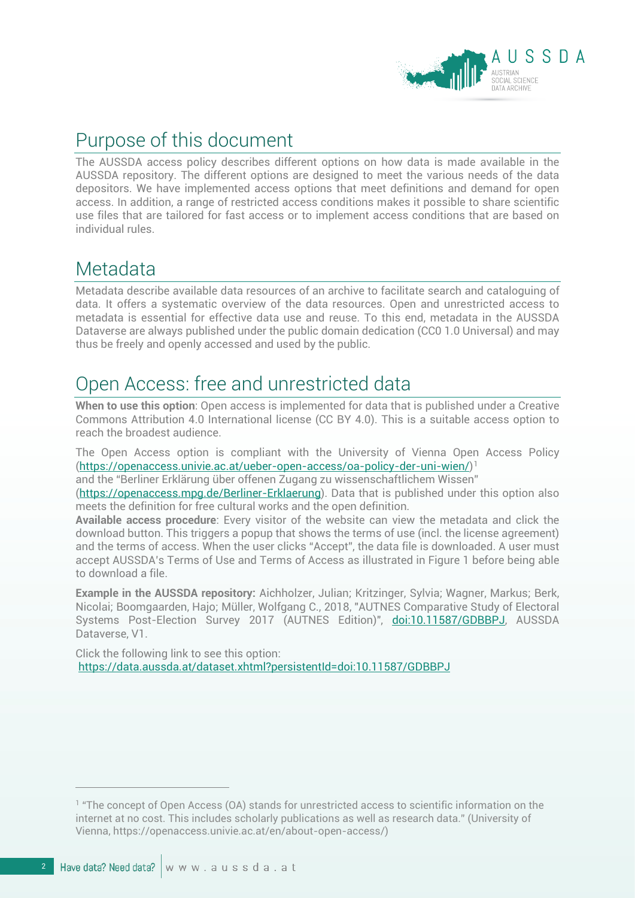

## Purpose of this document

The AUSSDA access policy describes different options on how data is made available in the AUSSDA repository. The different options are designed to meet the various needs of the data depositors. We have implemented access options that meet definitions and demand for open access. In addition, a range of restricted access conditions makes it possible to share scientific use files that are tailored for fast access or to implement access conditions that are based on individual rules.

#### Metadata

Metadata describe available data resources of an archive to facilitate search and cataloguing of data. It offers a systematic overview of the data resources. Open and unrestricted access to metadata is essential for effective data use and reuse. To this end, metadata in the AUSSDA Dataverse are always published under the public domain dedication (CC0 1.0 Universal) and may thus be freely and openly accessed and used by the public.

### Open Access: free and unrestricted data

**When to use this option**: Open access is implemented for data that is published under a Creative Commons Attribution 4.0 International license (CC BY 4.0). This is a suitable access option to reach the broadest audience.

The Open Access option is compliant with the University of Vienna Open Access Policy [\(https://openaccess.univie.ac.at/ueber-open-access/oa-policy-der-uni-wien/\)](https://openaccess.univie.ac.at/ueber-open-access/oa-policy-der-uni-wien/)[1](#page-2-0)

and the "Berliner Erklärung über offenen Zugang zu wissenschaftlichem Wissen"

[\(https://openaccess.mpg.de/Berliner-Erklaerung\)](https://openaccess.mpg.de/Berliner-Erklaerung). Data that is published under this option also meets the definition for free cultural works and the open definition.

**Available access procedure**: Every visitor of the website can view the metadata and click the download button. This triggers a popup that shows the terms of use (incl. the license agreement) and the terms of access. When the user clicks "Accept", the data file is downloaded. A user must accept AUSSDA's Terms of Use and Terms of Access as illustrated in [Figure 1](#page-3-0) before being able to download a file.

**Example in the AUSSDA repository:** Aichholzer, Julian; Kritzinger, Sylvia; Wagner, Markus; Berk, Nicolai; Boomgaarden, Hajo; Müller, Wolfgang C., 2018, "AUTNES Comparative Study of Electoral Systems Post-Election Survey 2017 (AUTNES Edition)", [doi:10.11587/GDBBPJ,](http://dx.doi.org/10.11587/GDBBPJ) AUSSDA Dataverse, V1.

Click the following link to see this option: <https://data.aussda.at/dataset.xhtml?persistentId=doi:10.11587/GDBBPJ>

 $\overline{a}$ 

<span id="page-2-0"></span><sup>1</sup> "The concept of Open Access (OA) stands for unrestricted access to scientific information on the internet at no cost. This includes scholarly publications as well as research data." (University of Vienna, https://openaccess.univie.ac.at/en/about-open-access/)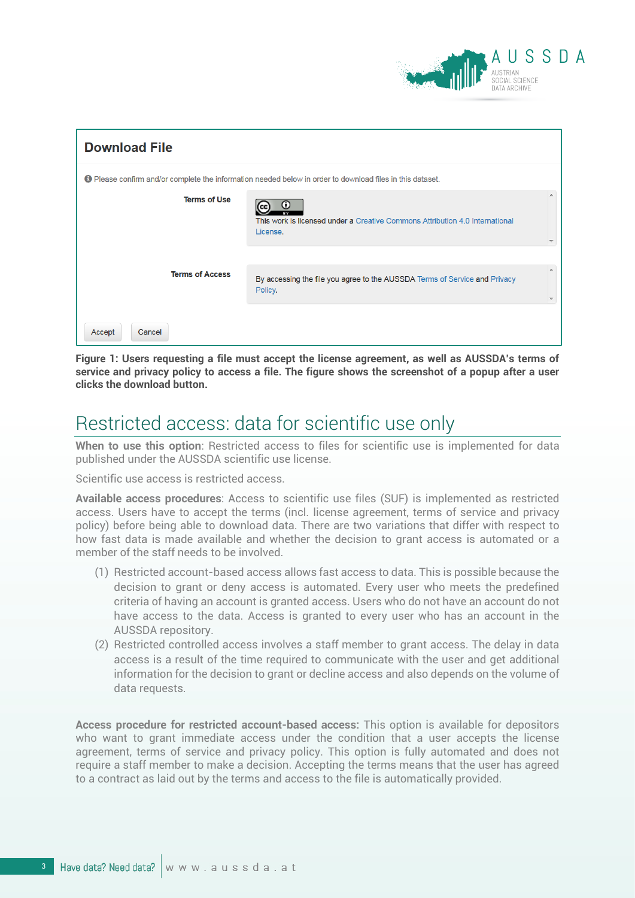

| <b>Download File</b>                                                                                             |                                                                                                        |  |  |  |  |  |
|------------------------------------------------------------------------------------------------------------------|--------------------------------------------------------------------------------------------------------|--|--|--|--|--|
| <b>O</b> Please confirm and/or complete the information needed below in order to download files in this dataset. |                                                                                                        |  |  |  |  |  |
| <b>Terms of Use</b>                                                                                              | $_{\odot}$<br>This work is licensed under a Creative Commons Attribution 4.0 International<br>License. |  |  |  |  |  |
| <b>Terms of Access</b>                                                                                           | By accessing the file you agree to the AUSSDA Terms of Service and Privacy<br>Policy.                  |  |  |  |  |  |
| Cancel<br>Accept                                                                                                 |                                                                                                        |  |  |  |  |  |

<span id="page-3-0"></span>**Figure 1: Users requesting a file must accept the license agreement, as well as AUSSDA's terms of service and privacy policy to access a file. The figure shows the screenshot of a popup after a user clicks the download button.**

### Restricted access: data for scientific use only

**When to use this option**: Restricted access to files for scientific use is implemented for data published under the AUSSDA scientific use license.

Scientific use access is restricted access.

**Available access procedures**: Access to scientific use files (SUF) is implemented as restricted access. Users have to accept the terms (incl. license agreement, terms of service and privacy policy) before being able to download data. There are two variations that differ with respect to how fast data is made available and whether the decision to grant access is automated or a member of the staff needs to be involved.

- (1) Restricted account-based access allows fast access to data. This is possible because the decision to grant or deny access is automated. Every user who meets the predefined criteria of having an account is granted access. Users who do not have an account do not have access to the data. Access is granted to every user who has an account in the AUSSDA repository.
- (2) Restricted controlled access involves a staff member to grant access. The delay in data access is a result of the time required to communicate with the user and get additional information for the decision to grant or decline access and also depends on the volume of data requests.

**Access procedure for restricted account-based access:** This option is available for depositors who want to grant immediate access under the condition that a user accepts the license agreement, terms of service and privacy policy. This option is fully automated and does not require a staff member to make a decision. Accepting the terms means that the user has agreed to a contract as laid out by the terms and access to the file is automatically provided.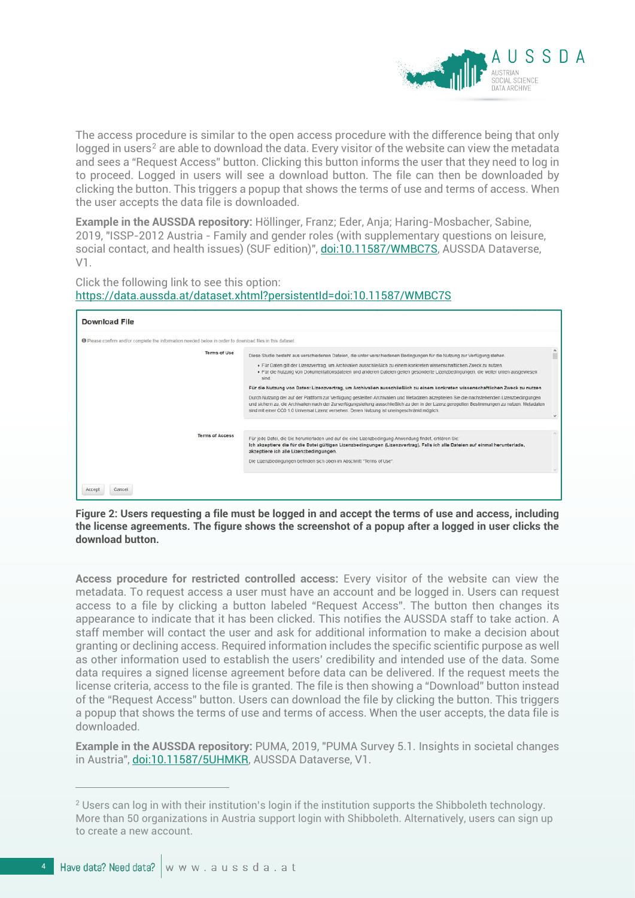

The access procedure is similar to the open access procedure with the difference being that only logged in users<sup>[2](#page-4-0)</sup> are able to download the data. Every visitor of the website can view the metadata and sees a "Request Access" button. Clicking this button informs the user that they need to log in to proceed. Logged in users will see a download button. The file can then be downloaded by clicking the button. This triggers a popup that shows the terms of use and terms of access. When the user accepts the data file is downloaded.

**Example in the AUSSDA repository:** Höllinger, Franz; Eder, Anja; Haring-Mosbacher, Sabine, 2019, "ISSP-2012 Austria - Family and gender roles (with supplementary questions on leisure, social contact, and health issues) (SUF edition)"[, doi:10.11587/WMBC7S,](http://dx.doi.org/10.11587/WMBC7S) AUSSDA Dataverse, V1.

Click the following link to see this option: <https://data.aussda.at/dataset.xhtml?persistentId=doi:10.11587/WMBC7S>

| <b>Download File</b>                                                                                        |                                                                                                                                                                                                                                                                                                                                                                                                                                                                                                                                                                                                                                                                                   |  |
|-------------------------------------------------------------------------------------------------------------|-----------------------------------------------------------------------------------------------------------------------------------------------------------------------------------------------------------------------------------------------------------------------------------------------------------------------------------------------------------------------------------------------------------------------------------------------------------------------------------------------------------------------------------------------------------------------------------------------------------------------------------------------------------------------------------|--|
| The Please confirm and/or complete the information needed below in order to download files in this dataset. |                                                                                                                                                                                                                                                                                                                                                                                                                                                                                                                                                                                                                                                                                   |  |
| Terms of Use                                                                                                | Diese Studie besteht aus verschiedenen Dateien, die unter verschiedenen Bedingungen für die Nutzung zur Verfügung stehen.<br>· Für Daten gilt der Lizenzvertrag, um Archivalien ausschließlich zu einem konkreten wissenschaftlichen Zweck zu nutzen.<br>· Für die Nutzung von Dokumentationsdateien und anderen Dateien gelten gesonderte Lizenzbedingungen, die weiter unten ausgewiesen<br>sind<br>Für die Nutzung von Daten: Lizenzvertrag, um Archivalien ausschließlich zu einem konkreten wissenschaftlichen Zweck zu nutzen<br>Durch Nutzung der auf der Plattform zur Verfügung gestellten Archivalien und Metadaten akzeptieren Sie die nachstehenden Lizenzbedingungen |  |
|                                                                                                             | und sichern zu, die Archivalien nach der Zurverfügungstellung ausschließlich zu den in der Lizenz geregelten Bestimmungen zu nutzen. Metadaten<br>sind mit einer CC0 1.0 Universal Lizenz versehen. Deren Nutzung ist uneingeschränkt möglich.                                                                                                                                                                                                                                                                                                                                                                                                                                    |  |
| <b>Terms of Access</b>                                                                                      | Für jede Datei, die Sie herunterladen und auf die eine Lizenzbedingung Anwendung findet, erklären Sie:<br>Ich akzeptiere die für die Datei gültigen Lizenzbedingungen (Lizenzvertrag). Falls ich alle Dateien auf einmal herunterlade,<br>akzeptiere ich alle Lizenzbedingungen.<br>Die Lizenzbedingungen befinden sich oben im Abschnitt "Terms of Use".                                                                                                                                                                                                                                                                                                                         |  |
| Cancel<br>Accept                                                                                            |                                                                                                                                                                                                                                                                                                                                                                                                                                                                                                                                                                                                                                                                                   |  |

**Figure 2: Users requesting a file must be logged in and accept the terms of use and access, including the license agreements. The figure shows the screenshot of a popup after a logged in user clicks the download button.**

**Access procedure for restricted controlled access:** Every visitor of the website can view the metadata. To request access a user must have an account and be logged in. Users can request access to a file by clicking a button labeled "Request Access". The button then changes its appearance to indicate that it has been clicked. This notifies the AUSSDA staff to take action. A staff member will contact the user and ask for additional information to make a decision about granting or declining access. Required information includes the specific scientific purpose as well as other information used to establish the users' credibility and intended use of the data. Some data requires a signed license agreement before data can be delivered. If the request meets the license criteria, access to the file is granted. The file is then showing a "Download" button instead of the "Request Access" button. Users can download the file by clicking the button. This triggers a popup that shows the terms of use and terms of access. When the user accepts, the data file is downloaded.

**Example in the AUSSDA repository:** PUMA, 2019, "PUMA Survey 5.1. Insights in societal changes in Austria", [doi:10.11587/5UHMKR,](http://dx.doi.org/10.11587/5UHMKR) AUSSDA Dataverse, V1.

 $\overline{a}$ 

<span id="page-4-0"></span> $2$  Users can log in with their institution's login if the institution supports the Shibboleth technology. More than 50 organizations in Austria support login with Shibboleth. Alternatively, users can sign up to create a new account.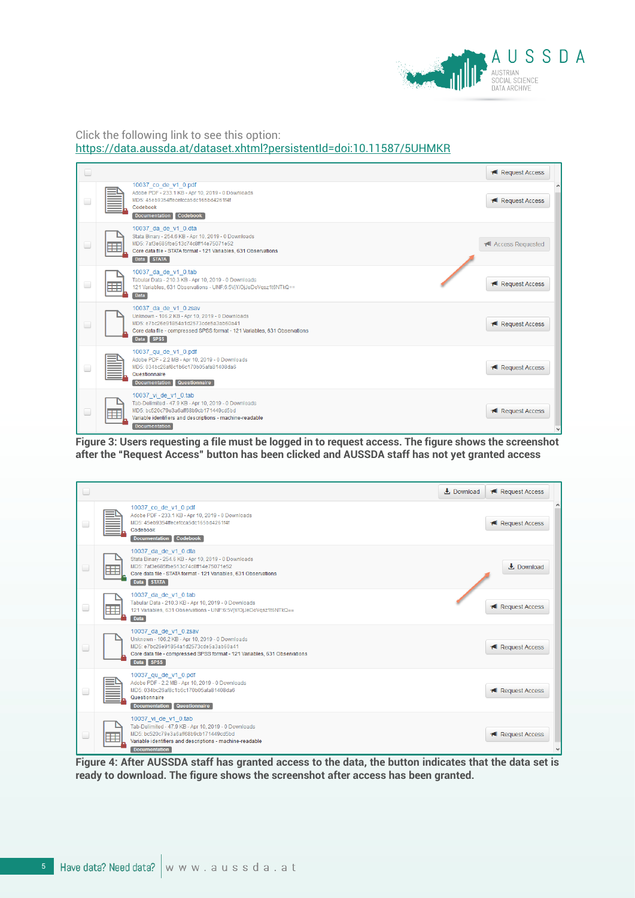

#### Click the following link to see this option: <https://data.aussda.at/dataset.xhtml?persistentId=doi:10.11587/5UHMKR>

|                                         |                                                                                                                                                                                                             | <b>IN</b> Request Access |  |
|-----------------------------------------|-------------------------------------------------------------------------------------------------------------------------------------------------------------------------------------------------------------|--------------------------|--|
| $\Box$                                  | 10037 co de v1 0.pdf<br>Adobe PDF - 233.1 KB - Apr 10, 2019 - 0 Downloads<br>MD5: 45eb9354ffecefcca5dc165bd4261f4f<br>Codebook<br>Codebook<br><b>Documentation</b>                                          | <b>IN</b> Request Access |  |
| $\overline{\phantom{a}}$                | 10037 da de v1 0.dta<br>Stata Binary - 254.6 KB - Apr 10, 2019 - 0 Downloads<br>MD5: 7af3e685fbe513c74c8ff14e75071e52<br>Œ<br>Core data file - STATA format - 121 Variables, 631 Observations<br>Data STATA | I Access Requested       |  |
| $\Box$                                  | 10037 da de v1 0.tab<br>Tabular Data - 210.3 KB - Apr 10, 2019 - 0 Downloads<br>⊞<br>121 Variables, 631 Observations - UNF:6:5VjY/OjJeDoVqsz1t6NTkQ==<br><b>Data</b>                                        | <b>IN</b> Request Access |  |
| $\begin{array}{ccc} \hline \end{array}$ | 10037 da de v1 0.zsav<br>Unknown - 106.2 KB - Apr 10, 2019 - 0 Downloads<br>MD5: e7bc26e91854a1d2573cde5a3ab60a41<br>Core data file - compressed SPSS format - 121 Variables, 631 Observations<br>Data SPSS | <b>IN</b> Request Access |  |
| $\Box$                                  | 10037 qu de v1 0.pdf<br>Adobe PDF - 2.2 MB - Apr 10, 2019 - 0 Downloads<br>MD5: 034bc26af8c1b6c170b05afa81408da6<br>Questionnaire<br>Questionnaire<br><b>Documentation</b>                                  | <b>IN</b> Request Access |  |
| $\Box$                                  | 10037 vi de v1 0.tab<br>Tab-Delimited - 47.9 KB - Apr 10, 2019 - 0 Downloads<br>MD5: bc520c79e3a6aff68b9cb171449cd5bd<br>⊞<br>Variable identifiers and descriptions - machine-readable<br>Documentation     | Request Access           |  |

**Figure 3: Users requesting a file must be logged in to request access. The figure shows the screenshot after the "Request Access" button has been clicked and AUSSDA staff has not yet granted access**

| $\qquad \qquad \Box$ |                                                                                                                                                                                                                | $\pm$ Download | <b>IN</b> Request Access |  |
|----------------------|----------------------------------------------------------------------------------------------------------------------------------------------------------------------------------------------------------------|----------------|--------------------------|--|
| $\Box$               | 10037_co_de_v1_0.pdf<br>Adobe PDF - 233.1 KB - Apr 10, 2019 - 0 Downloads<br>MD5: 45eb9354ffecefcca5dc165bd4261f4f<br>Codebook<br>Documentation Codebook                                                       |                | <b>IN</b> Request Access |  |
| $\Box$               | 10037 da de v1 0.dta<br>Stata Binary - 254.6 KB - Apr 10, 2019 - 0 Downloads<br>MD5: 7af3e685fbe513c74c8ff14e75071e52<br>Core data file - STATA format - 121 Variables, 631 Observations<br>Data STATA         |                | $\pm$ Download           |  |
| $\Box$               | 10037 da de v1 0.tab<br>Tabular Data - 210.3 KB - Apr 10, 2019 - 0 Downloads<br>121 Variables, 631 Observations - UNF:6:5VjY/OjJeDoVqsz1t6NTkQ==<br><b>Data</b>                                                |                | Request Access           |  |
| $\Box$               | 10037 da de v1 0.zsav<br>Unknown - 106.2 KB - Apr 10, 2019 - 0 Downloads<br>MD5: e7bc26e91854a1d2573cde5a3ab60a41<br>Core data file - compressed SPSS format - 121 Variables, 631 Observations<br>Data SPSS    |                | <b>I</b> Request Access  |  |
| $\Box$               | 10037 qu de v1 0.pdf<br>Adobe PDF - 2.2 MB - Apr 10, 2019 - 0 Downloads<br>MD5: 034bc26af8c1b6c170b05afa81408da6<br>Questionnaire<br>Documentation Questionnaire                                               |                | Request Access           |  |
| $\Box$               | 10037 vi de v1 0.tab<br>Tab-Delimited - 47.9 KB - Apr 10, 2019 - 0 Downloads<br>MD5: bc520c79e3a6aff68b9cb171449cd5bd<br>⊞<br>Variable identifiers and descriptions - machine-readable<br><b>Documentation</b> |                | <b>I</b> Request Access  |  |

**Figure 4: After AUSSDA staff has granted access to the data, the button indicates that the data set is ready to download. The figure shows the screenshot after access has been granted.**